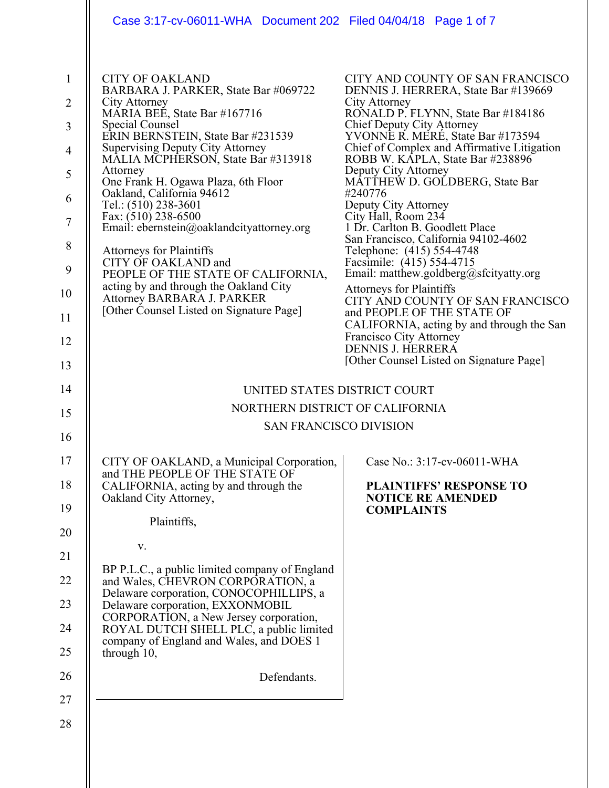|                                                                                                             | Case 3:17-cv-06011-WHA  Document 202  Filed 04/04/18  Page 1 of 7                                                                                                                                                                                                                                                                                                                                                                                                                                                                                                                                                                                          |                                                                                                                                                                                                                                                                                                                                                                                                                                                                                                                                                                                                                                                                                                                                                                                                                                               |
|-------------------------------------------------------------------------------------------------------------|------------------------------------------------------------------------------------------------------------------------------------------------------------------------------------------------------------------------------------------------------------------------------------------------------------------------------------------------------------------------------------------------------------------------------------------------------------------------------------------------------------------------------------------------------------------------------------------------------------------------------------------------------------|-----------------------------------------------------------------------------------------------------------------------------------------------------------------------------------------------------------------------------------------------------------------------------------------------------------------------------------------------------------------------------------------------------------------------------------------------------------------------------------------------------------------------------------------------------------------------------------------------------------------------------------------------------------------------------------------------------------------------------------------------------------------------------------------------------------------------------------------------|
| $\mathbf{1}$<br>$\overline{2}$<br>3<br>$\overline{4}$<br>5<br>6<br>$\tau$<br>8<br>9<br>10<br>11<br>12<br>13 | <b>CITY OF OAKLAND</b><br>BARBARA J. PARKER, State Bar #069722<br>City Attorney<br>MARIA BEE, State Bar #167716<br>Special Counsel<br>ERIN BERNSTEIN, State Bar #231539<br><b>Supervising Deputy City Attorney</b><br>MALIA MCPHERSON, State Bar #313918<br>Attorney<br>One Frank H. Ogawa Plaza, 6th Floor<br>Oakland, California 94612<br>Tel.: (510) 238-3601<br>Fax: $(510)$ 238-6500<br>Email: ebernstein@oaklandcityattorney.org<br><b>Attorneys for Plaintiffs</b><br>CITY OF OAKLAND and<br>PEOPLE OF THE STATE OF CALIFORNIA,<br>acting by and through the Oakland City<br>Attorney BARBARA J. PARKER<br>[Other Counsel Listed on Signature Page] | CITY AND COUNTY OF SAN FRANCISCO<br>DENNIS J. HERRERA, State Bar #139669<br>City Attorney<br>RONALD P. FLYNN, State Bar #184186<br>Chief Deputy City Attorney<br>YVONNE R. MERE, State Bar #173594<br>Chief of Complex and Affirmative Litigation<br>ROBB W. KĀPLA, State Bar #238896<br>Deputy City Attorney<br>MATTHEW D. GOLDBERG, State Bar<br>#240776<br>Deputy City Attorney<br>City Hall, Room 234<br>1 Dr. Carlton B. Goodlett Place<br>San Francisco, California 94102-4602<br>Telephone: (415) 554-4748<br>Facsimile: (415) 554-4715<br>Email: matthew.goldberg@sfcityatty.org<br><b>Attorneys for Plaintiffs</b><br>CITY AND COUNTY OF SAN FRANCISCO<br>and PEOPLE OF THE STATE OF<br>CALIFORNIA, acting by and through the San<br>Francisco City Attorney<br><b>DENNIS J. HERRERA</b><br>[Other Counsel Listed on Signature Page] |
| 14                                                                                                          | UNITED STATES DISTRICT COURT                                                                                                                                                                                                                                                                                                                                                                                                                                                                                                                                                                                                                               |                                                                                                                                                                                                                                                                                                                                                                                                                                                                                                                                                                                                                                                                                                                                                                                                                                               |
| 15                                                                                                          | NORTHERN DISTRICT OF CALIFORNIA                                                                                                                                                                                                                                                                                                                                                                                                                                                                                                                                                                                                                            |                                                                                                                                                                                                                                                                                                                                                                                                                                                                                                                                                                                                                                                                                                                                                                                                                                               |
|                                                                                                             | <b>SAN FRANCISCO DIVISION</b>                                                                                                                                                                                                                                                                                                                                                                                                                                                                                                                                                                                                                              |                                                                                                                                                                                                                                                                                                                                                                                                                                                                                                                                                                                                                                                                                                                                                                                                                                               |
| 16<br>17<br>18<br>19<br>20<br>21<br>22<br>23<br>24<br>25<br>26<br>27                                        | CITY OF OAKLAND, a Municipal Corporation,<br>and THE PEOPLE OF THE STATE OF<br>CALIFORNIA, acting by and through the<br>Oakland City Attorney,<br>Plaintiffs,<br>V.<br>BP P.L.C., a public limited company of England<br>and Wales, CHEVRON CORPORATION, a<br>Delaware corporation, CONOCOPHILLIPS, a<br>Delaware corporation, EXXONMOBIL<br>CORPORATION, a New Jersey corporation,<br>ROYAL DUTCH SHELL PLC, a public limited<br>company of England and Wales, and DOES 1<br>through 10,<br>Defendants.                                                                                                                                                   | Case No.: 3:17-cv-06011-WHA<br><b>PLAINTIFFS' RESPONSE TO</b><br><b>NOTICE RE AMENDED</b><br><b>COMPLAINTS</b>                                                                                                                                                                                                                                                                                                                                                                                                                                                                                                                                                                                                                                                                                                                                |
| 28                                                                                                          |                                                                                                                                                                                                                                                                                                                                                                                                                                                                                                                                                                                                                                                            |                                                                                                                                                                                                                                                                                                                                                                                                                                                                                                                                                                                                                                                                                                                                                                                                                                               |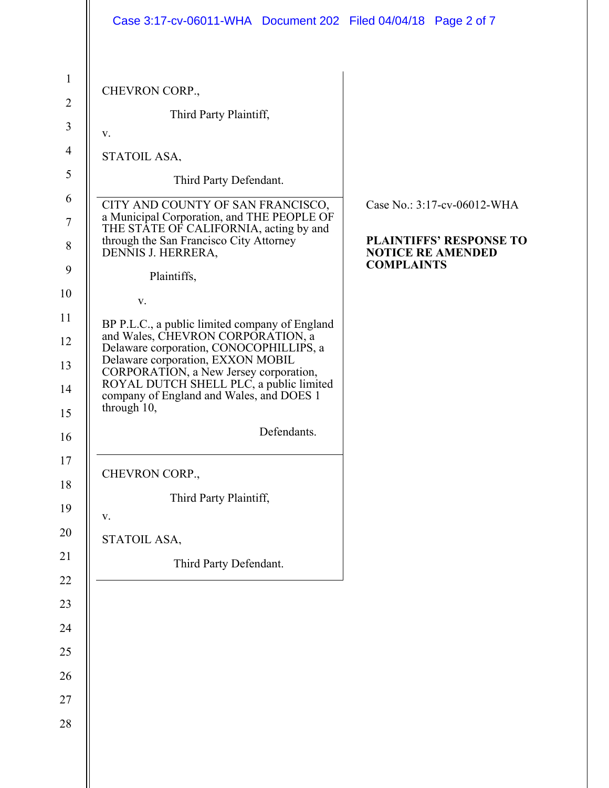|                | Case 3:17-cv-06011-WHA Document 202 Filed 04/04/18 Page 2 of 7                                                                               |                                                            |
|----------------|----------------------------------------------------------------------------------------------------------------------------------------------|------------------------------------------------------------|
|                |                                                                                                                                              |                                                            |
| $\mathbf{1}$   | CHEVRON CORP.,                                                                                                                               |                                                            |
| $\overline{2}$ | Third Party Plaintiff,                                                                                                                       |                                                            |
| $\mathfrak{Z}$ | v.                                                                                                                                           |                                                            |
| $\overline{4}$ | STATOIL ASA,                                                                                                                                 |                                                            |
| 5<br>6         | Third Party Defendant.                                                                                                                       |                                                            |
|                | CITY AND COUNTY OF SAN FRANCISCO,<br>a Municipal Corporation, and THE PEOPLE OF                                                              | Case No.: 3:17-cv-06012-WHA                                |
|                | THE STATE OF CALIFORNIA, acting by and<br>through the San Francisco City Attorney<br>DENNIS J. HERRERA,                                      | <b>PLAINTIFFS' RESPONSE TO</b><br><b>NOTICE RE AMENDED</b> |
|                | Plaintiffs,                                                                                                                                  | <b>COMPLAINTS</b>                                          |
|                | V.                                                                                                                                           |                                                            |
|                | BP P.L.C., a public limited company of England                                                                                               |                                                            |
|                | and Wales, CHEVRON CORPORATION, a<br>Delaware corporation, CONOCOPHILLIPS, a<br>Delaware corporation, EXXON MOBIL                            |                                                            |
|                | CORPORATION, a New Jersey corporation,<br>ROYAL DUTCH SHELL PLC, a public limited<br>company of England and Wales, and DOES 1<br>through 10, |                                                            |
|                | Defendants.                                                                                                                                  |                                                            |
|                | CHEVRON CORP.,                                                                                                                               |                                                            |
|                | Third Party Plaintiff,                                                                                                                       |                                                            |
|                | V.                                                                                                                                           |                                                            |
|                | STATOIL ASA,                                                                                                                                 |                                                            |
|                | Third Party Defendant.                                                                                                                       |                                                            |
|                |                                                                                                                                              |                                                            |
|                |                                                                                                                                              |                                                            |
|                |                                                                                                                                              |                                                            |
|                |                                                                                                                                              |                                                            |
|                |                                                                                                                                              |                                                            |
|                |                                                                                                                                              |                                                            |
|                |                                                                                                                                              |                                                            |
|                |                                                                                                                                              |                                                            |
|                |                                                                                                                                              |                                                            |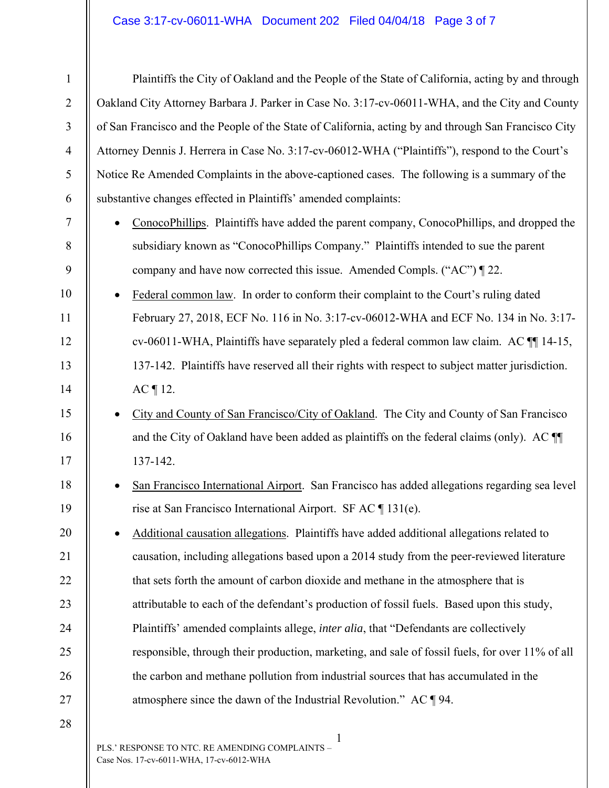## Case 3:17-cv-06011-WHA Document 202 Filed 04/04/18 Page 3 of 7

| $\mathbf{1}$   | Plaintiffs the City of Oakland and the People of the State of California, acting by and through      |
|----------------|------------------------------------------------------------------------------------------------------|
| $\overline{2}$ | Oakland City Attorney Barbara J. Parker in Case No. 3:17-cv-06011-WHA, and the City and County       |
| 3              | of San Francisco and the People of the State of California, acting by and through San Francisco City |
| $\overline{4}$ | Attorney Dennis J. Herrera in Case No. 3:17-cv-06012-WHA ("Plaintiffs"), respond to the Court's      |
| 5              | Notice Re Amended Complaints in the above-captioned cases. The following is a summary of the         |
| 6              | substantive changes effected in Plaintiffs' amended complaints:                                      |
| 7              | ConocoPhillips. Plaintiffs have added the parent company, ConocoPhillips, and dropped the            |
| 8              | subsidiary known as "ConocoPhillips Company." Plaintiffs intended to sue the parent                  |
| 9              | company and have now corrected this issue. Amended Compls. ("AC") $\P$ 22.                           |
| 10             | Federal common law. In order to conform their complaint to the Court's ruling dated                  |
| 11             | February 27, 2018, ECF No. 116 in No. 3:17-cv-06012-WHA and ECF No. 134 in No. 3:17-                 |
| 12             | cv-06011-WHA, Plaintiffs have separately pled a federal common law claim. AC ¶ 14-15,                |
| 13             | 137-142. Plaintiffs have reserved all their rights with respect to subject matter jurisdiction.      |
| 14             | AC ¶ 12.                                                                                             |
| 15             | City and County of San Francisco/City of Oakland. The City and County of San Francisco               |
| 16             | and the City of Oakland have been added as plaintiffs on the federal claims (only). AC II            |
| 17             | 137-142.                                                                                             |
| 18             | San Francisco International Airport. San Francisco has added allegations regarding sea level         |
| 19             | rise at San Francisco International Airport. SF AC ¶ 131(e).                                         |
| 20             | Additional causation allegations. Plaintiffs have added additional allegations related to            |
| 21             | causation, including allegations based upon a 2014 study from the peer-reviewed literature           |
| 22             | that sets forth the amount of carbon dioxide and methane in the atmosphere that is                   |
| 23             | attributable to each of the defendant's production of fossil fuels. Based upon this study,           |
| 24             | Plaintiffs' amended complaints allege, <i>inter alia</i> , that "Defendants are collectively         |
| 25             | responsible, through their production, marketing, and sale of fossil fuels, for over 11% of all      |
| 26             | the carbon and methane pollution from industrial sources that has accumulated in the                 |
| 27             | atmosphere since the dawn of the Industrial Revolution." AC $\P$ 94.                                 |
| 28             |                                                                                                      |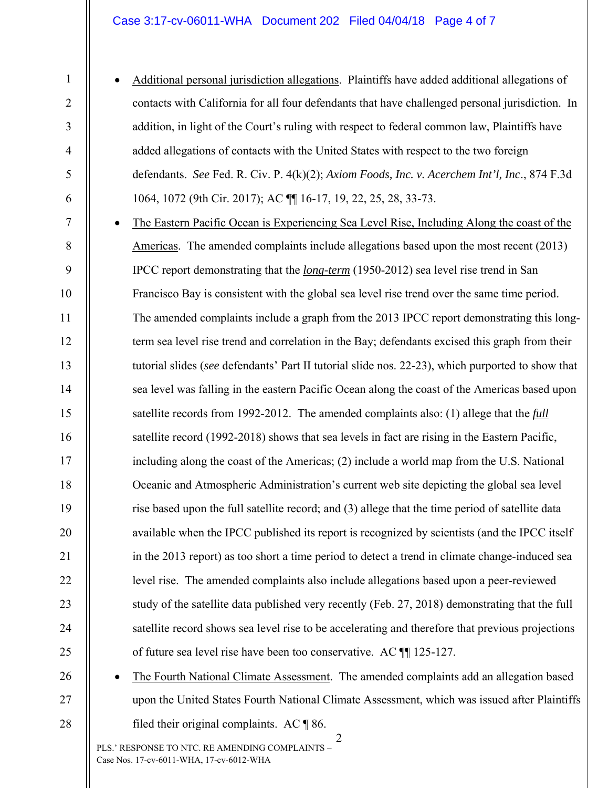## Case 3:17-cv-06011-WHA Document 202 Filed 04/04/18 Page 4 of 7

 Additional personal jurisdiction allegations. Plaintiffs have added additional allegations of contacts with California for all four defendants that have challenged personal jurisdiction. In addition, in light of the Court's ruling with respect to federal common law, Plaintiffs have added allegations of contacts with the United States with respect to the two foreign defendants. *See* Fed. R. Civ. P. 4(k)(2); *Axiom Foods, Inc. v. Acerchem Int'l, Inc*., 874 F.3d 1064, 1072 (9th Cir. 2017); AC ¶¶ 16-17, 19, 22, 25, 28, 33-73.

 The Eastern Pacific Ocean is Experiencing Sea Level Rise, Including Along the coast of the Americas. The amended complaints include allegations based upon the most recent (2013) IPCC report demonstrating that the *long-term* (1950-2012) sea level rise trend in San Francisco Bay is consistent with the global sea level rise trend over the same time period. The amended complaints include a graph from the 2013 IPCC report demonstrating this longterm sea level rise trend and correlation in the Bay; defendants excised this graph from their tutorial slides (*see* defendants' Part II tutorial slide nos. 22-23), which purported to show that sea level was falling in the eastern Pacific Ocean along the coast of the Americas based upon satellite records from 1992-2012. The amended complaints also: (1) allege that the *full* satellite record (1992-2018) shows that sea levels in fact are rising in the Eastern Pacific, including along the coast of the Americas; (2) include a world map from the U.S. National Oceanic and Atmospheric Administration's current web site depicting the global sea level rise based upon the full satellite record; and (3) allege that the time period of satellite data available when the IPCC published its report is recognized by scientists (and the IPCC itself in the 2013 report) as too short a time period to detect a trend in climate change-induced sea level rise. The amended complaints also include allegations based upon a peer-reviewed study of the satellite data published very recently (Feb. 27, 2018) demonstrating that the full satellite record shows sea level rise to be accelerating and therefore that previous projections of future sea level rise have been too conservative. AC ¶¶ 125-127.

26 27

28

1

2

3

4

5

6

7

8

9

10

11

12

13

14

15

16

17

18

19

20

21

22

23

24

25

 The Fourth National Climate Assessment. The amended complaints add an allegation based upon the United States Fourth National Climate Assessment, which was issued after Plaintiffs filed their original complaints. AC ¶ 86.

2 PLS.' RESPONSE TO NTC. RE AMENDING COMPLAINTS – Case Nos. 17-cv-6011-WHA, 17-cv-6012-WHA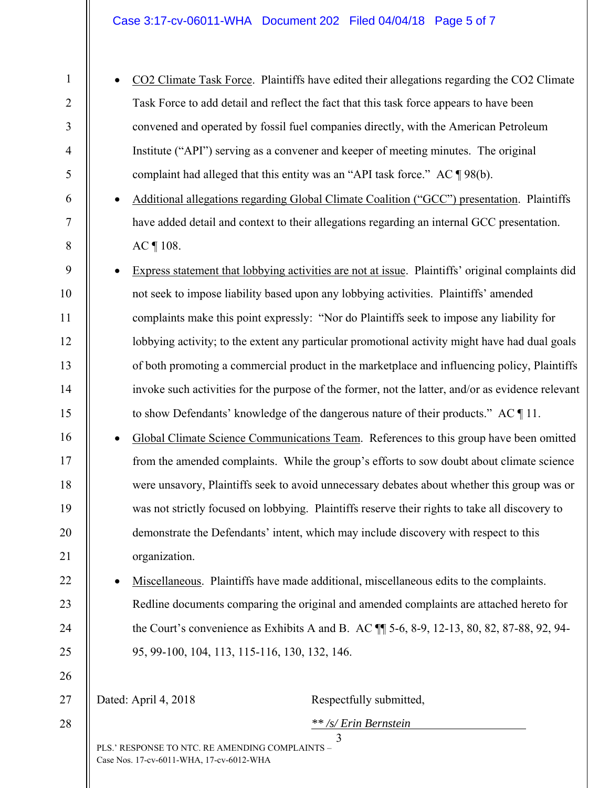CO2 Climate Task Force. Plaintiffs have edited their allegations regarding the CO2 Climate Task Force to add detail and reflect the fact that this task force appears to have been convened and operated by fossil fuel companies directly, with the American Petroleum Institute ("API") serving as a convener and keeper of meeting minutes. The original complaint had alleged that this entity was an "API task force." AC ¶ 98(b).

 Additional allegations regarding Global Climate Coalition ("GCC") presentation. Plaintiffs have added detail and context to their allegations regarding an internal GCC presentation. AC ¶ 108.

- Express statement that lobbying activities are not at issue. Plaintiffs' original complaints did not seek to impose liability based upon any lobbying activities. Plaintiffs' amended complaints make this point expressly: "Nor do Plaintiffs seek to impose any liability for lobbying activity; to the extent any particular promotional activity might have had dual goals of both promoting a commercial product in the marketplace and influencing policy, Plaintiffs invoke such activities for the purpose of the former, not the latter, and/or as evidence relevant to show Defendants' knowledge of the dangerous nature of their products." AC ¶ 11.
- Global Climate Science Communications Team. References to this group have been omitted from the amended complaints. While the group's efforts to sow doubt about climate science were unsavory, Plaintiffs seek to avoid unnecessary debates about whether this group was or was not strictly focused on lobbying. Plaintiffs reserve their rights to take all discovery to demonstrate the Defendants' intent, which may include discovery with respect to this organization.

 Miscellaneous. Plaintiffs have made additional, miscellaneous edits to the complaints. Redline documents comparing the original and amended complaints are attached hereto for the Court's convenience as Exhibits A and B. AC ¶¶ 5-6, 8-9, 12-13, 80, 82, 87-88, 92, 94- 95, 99-100, 104, 113, 115-116, 130, 132, 146.

27

1

2

3

4

5

6

7

8

9

10

11

12

13

14

15

16

17

18

19

20

21

22

23

24

25

26

28

Dated: April 4, 2018 Respectfully submitted,

*\*\* /s/ Erin Bernstein*

3 PLS.' RESPONSE TO NTC. RE AMENDING COMPLAINTS – Case Nos. 17-cv-6011-WHA, 17-cv-6012-WHA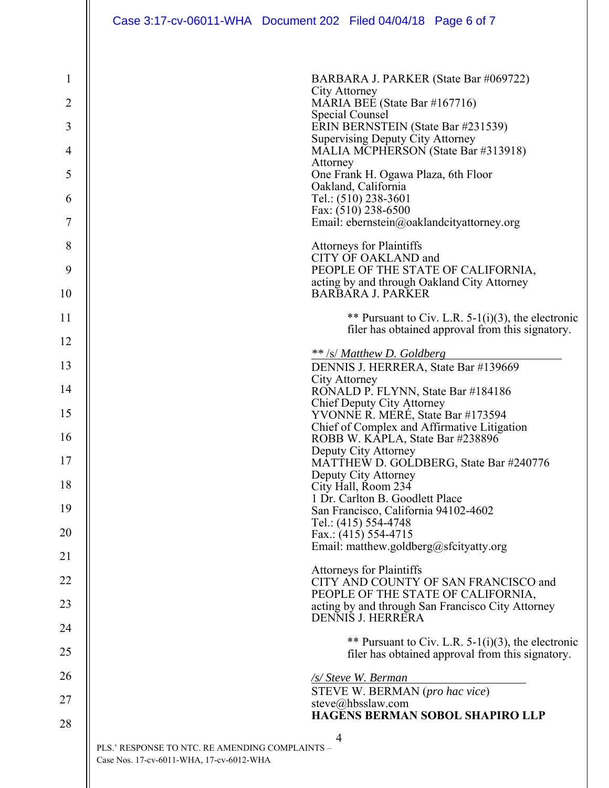| $\mathbf{1}$   | BARBARA J. PARKER (State Bar #069722)                                                                  |
|----------------|--------------------------------------------------------------------------------------------------------|
| $\overline{2}$ | <b>City Attorney</b><br>MARIA BEE (State Bar #167716)                                                  |
| 3              | Special Counsel<br>ERIN BERNSTEIN (State Bar #231539)                                                  |
| 4              | <b>Supervising Deputy City Attorney</b><br>MALIA MCPHERSON (State Bar #313918)                         |
| 5              | Attorney<br>One Frank H. Ogawa Plaza, 6th Floor                                                        |
| 6              | Oakland, California<br>Tel.: (510) 238-3601                                                            |
| 7              | Fax: (510) 238-6500<br>Email: ebernstein@oaklandcityattorney.org                                       |
| 8              | <b>Attorneys for Plaintiffs</b>                                                                        |
| 9              | CITY OF OAKLAND and<br>PEOPLE OF THE STATE OF CALIFORNIA,                                              |
| 10             | acting by and through Oakland City Attorney<br><b>BARBARA J. PARKER</b>                                |
| 11             | ** Pursuant to Civ. L.R. 5-1(i)(3), the electronic<br>filer has obtained approval from this signatory. |
| 12             | ** /s/ Matthew D. Goldberg                                                                             |
| 13             | DENNIS J. HERRERA, State Bar #139669                                                                   |
| 14             | City Attorney<br>RONALD P. FLYNN, State Bar #184186                                                    |
| 15             | Chief Deputy City Attorney<br>YVONNE R. MERÉ, State Bar #173594                                        |
| 16             | Chief of Complex and Affirmative Litigation<br>ROBB W. KAPLA, State Bar #238896                        |
| 17             | Deputy City Attorney<br>MATTHEW D. GOLDBERG, State Bar #240776                                         |
| 18             | Deputy City Attorney<br>City Hall, Room 234                                                            |
| 19             | 1 Dr. Carlton B. Goodlett Place<br>San Francisco, California 94102-4602                                |
| 20             | Tel.: (415) 554-4748<br>Fax.: $(415)$ 554-4715                                                         |
| 21             | Email: matthew.goldberg@sfcityatty.org                                                                 |
| 22             | <b>Attorneys for Plaintiffs</b><br>CITY AND COUNTY OF SAN FRANCISCO and                                |
| 23             | PEOPLE OF THE STATE OF CALIFORNIA,<br>acting by and through San Francisco City Attorney                |
| 24             | <b>DENNIS J. HERRERA</b>                                                                               |
| 25             | ** Pursuant to Civ. L.R. 5-1(i)(3), the electronic<br>filer has obtained approval from this signatory. |
| 26             | /s/ Steve W. Berman                                                                                    |
| 27             | STEVE W. BERMAN (pro hac vice)<br>steve@hbsslaw.com                                                    |
| 28             | HAGĒNS BERMAN SOBOL SHAPIRO LLP                                                                        |
|                | 4<br>PLS.' RESPONSE TO NTC. RE AMENDING COMPLAINTS -<br>Case Nos. 17-cv-6011-WHA, 17-cv-6012-WHA       |

 $\overline{\phantom{a}}$